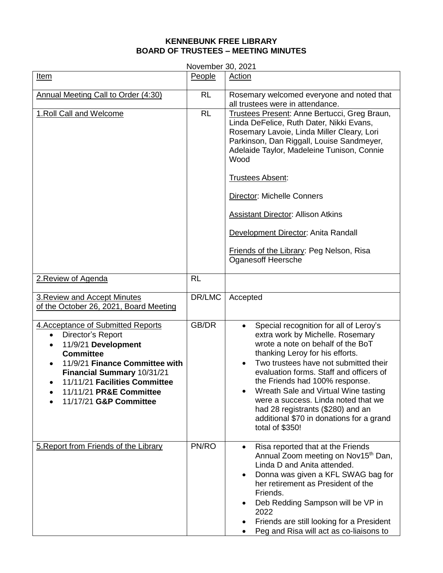## **KENNEBUNK FREE LIBRARY BOARD OF TRUSTEES – MEETING MINUTES**

| November 30, 2021                                                                                                                                                                                                                                                     |           |                                                                                                                                                                                                                                                                                                                                                                                                                                                                          |  |  |
|-----------------------------------------------------------------------------------------------------------------------------------------------------------------------------------------------------------------------------------------------------------------------|-----------|--------------------------------------------------------------------------------------------------------------------------------------------------------------------------------------------------------------------------------------------------------------------------------------------------------------------------------------------------------------------------------------------------------------------------------------------------------------------------|--|--|
| Item                                                                                                                                                                                                                                                                  | People    | Action                                                                                                                                                                                                                                                                                                                                                                                                                                                                   |  |  |
| Annual Meeting Call to Order (4:30)                                                                                                                                                                                                                                   | <b>RL</b> | Rosemary welcomed everyone and noted that<br>all trustees were in attendance.                                                                                                                                                                                                                                                                                                                                                                                            |  |  |
| 1. Roll Call and Welcome                                                                                                                                                                                                                                              | <b>RL</b> | Trustees Present: Anne Bertucci, Greg Braun,<br>Linda DeFelice, Ruth Dater, Nikki Evans,<br>Rosemary Lavoie, Linda Miller Cleary, Lori<br>Parkinson, Dan Riggall, Louise Sandmeyer,<br>Adelaide Taylor, Madeleine Tunison, Connie<br>Wood<br>Trustees Absent:<br><b>Director: Michelle Conners</b><br><b>Assistant Director: Allison Atkins</b><br>Development Director: Anita Randall<br><b>Friends of the Library: Peg Nelson, Risa</b><br><b>Oganesoff Heersche</b>   |  |  |
| 2. Review of Agenda                                                                                                                                                                                                                                                   | <b>RL</b> |                                                                                                                                                                                                                                                                                                                                                                                                                                                                          |  |  |
| <b>3. Review and Accept Minutes</b><br>of the October 26, 2021, Board Meeting                                                                                                                                                                                         | DR/LMC    | Accepted                                                                                                                                                                                                                                                                                                                                                                                                                                                                 |  |  |
| 4. Acceptance of Submitted Reports<br>Director's Report<br>$\bullet$<br>11/9/21 Development<br><b>Committee</b><br>11/9/21 Finance Committee with<br>Financial Summary 10/31/21<br>11/11/21 Facilities Committee<br>11/11/21 PR&E Committee<br>11/17/21 G&P Committee | GB/DR     | Special recognition for all of Leroy's<br>$\bullet$<br>extra work by Michelle. Rosemary<br>wrote a note on behalf of the BoT<br>thanking Leroy for his efforts.<br>Two trustees have not submitted their<br>evaluation forms. Staff and officers of<br>the Friends had 100% response.<br>Wreath Sale and Virtual Wine tasting<br>were a success. Linda noted that we<br>had 28 registrants (\$280) and an<br>additional \$70 in donations for a grand<br>total of \$350! |  |  |
| 5. Report from Friends of the Library                                                                                                                                                                                                                                 | PN/RO     | Risa reported that at the Friends<br>Annual Zoom meeting on Nov15 <sup>th</sup> Dan,<br>Linda D and Anita attended.<br>Donna was given a KFL SWAG bag for<br>her retirement as President of the<br>Friends.<br>Deb Redding Sampson will be VP in<br>2022<br>Friends are still looking for a President<br>Peg and Risa will act as co-liaisons to                                                                                                                         |  |  |

November 30, 2021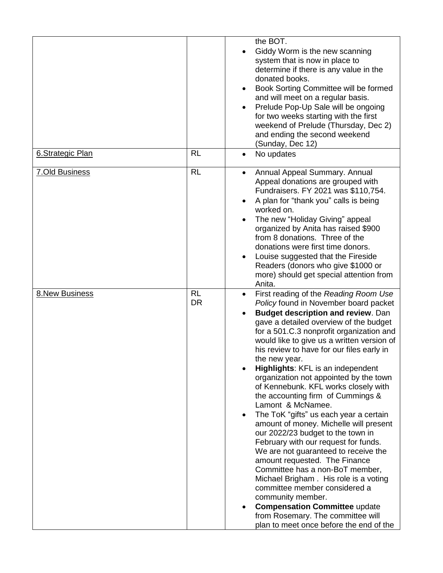|                       |                        | the BOT.<br>Giddy Worm is the new scanning<br>$\bullet$<br>system that is now in place to<br>determine if there is any value in the<br>donated books.<br>Book Sorting Committee will be formed<br>$\bullet$<br>and will meet on a regular basis.<br>Prelude Pop-Up Sale will be ongoing<br>$\bullet$<br>for two weeks starting with the first<br>weekend of Prelude (Thursday, Dec 2)<br>and ending the second weekend<br>(Sunday, Dec 12)                                                                                                                                                                                                                                                                                                                                                                                                                                                                                                                                                                                      |
|-----------------------|------------------------|---------------------------------------------------------------------------------------------------------------------------------------------------------------------------------------------------------------------------------------------------------------------------------------------------------------------------------------------------------------------------------------------------------------------------------------------------------------------------------------------------------------------------------------------------------------------------------------------------------------------------------------------------------------------------------------------------------------------------------------------------------------------------------------------------------------------------------------------------------------------------------------------------------------------------------------------------------------------------------------------------------------------------------|
| 6. Strategic Plan     | <b>RL</b>              | No updates<br>$\bullet$                                                                                                                                                                                                                                                                                                                                                                                                                                                                                                                                                                                                                                                                                                                                                                                                                                                                                                                                                                                                         |
| <b>7.Old Business</b> | <b>RL</b>              | Annual Appeal Summary. Annual<br>$\bullet$<br>Appeal donations are grouped with<br>Fundraisers. FY 2021 was \$110,754.<br>A plan for "thank you" calls is being<br>worked on.<br>The new "Holiday Giving" appeal<br>organized by Anita has raised \$900<br>from 8 donations. Three of the<br>donations were first time donors.<br>Louise suggested that the Fireside<br>Readers (donors who give \$1000 or<br>more) should get special attention from<br>Anita.                                                                                                                                                                                                                                                                                                                                                                                                                                                                                                                                                                 |
| <b>8.New Business</b> | <b>RL</b><br><b>DR</b> | First reading of the Reading Room Use<br>$\bullet$<br>Policy found in November board packet<br><b>Budget description and review. Dan</b><br>gave a detailed overview of the budget<br>for a 501.C.3 nonprofit organization and<br>would like to give us a written version of<br>his review to have for our files early in<br>the new year.<br>Highlights: KFL is an independent<br>organization not appointed by the town<br>of Kennebunk. KFL works closely with<br>the accounting firm of Cummings &<br>Lamont & McNamee.<br>The ToK "gifts" us each year a certain<br>amount of money. Michelle will present<br>our 2022/23 budget to the town in<br>February with our request for funds.<br>We are not guaranteed to receive the<br>amount requested. The Finance<br>Committee has a non-BoT member,<br>Michael Brigham. His role is a voting<br>committee member considered a<br>community member.<br><b>Compensation Committee update</b><br>from Rosemary. The committee will<br>plan to meet once before the end of the |